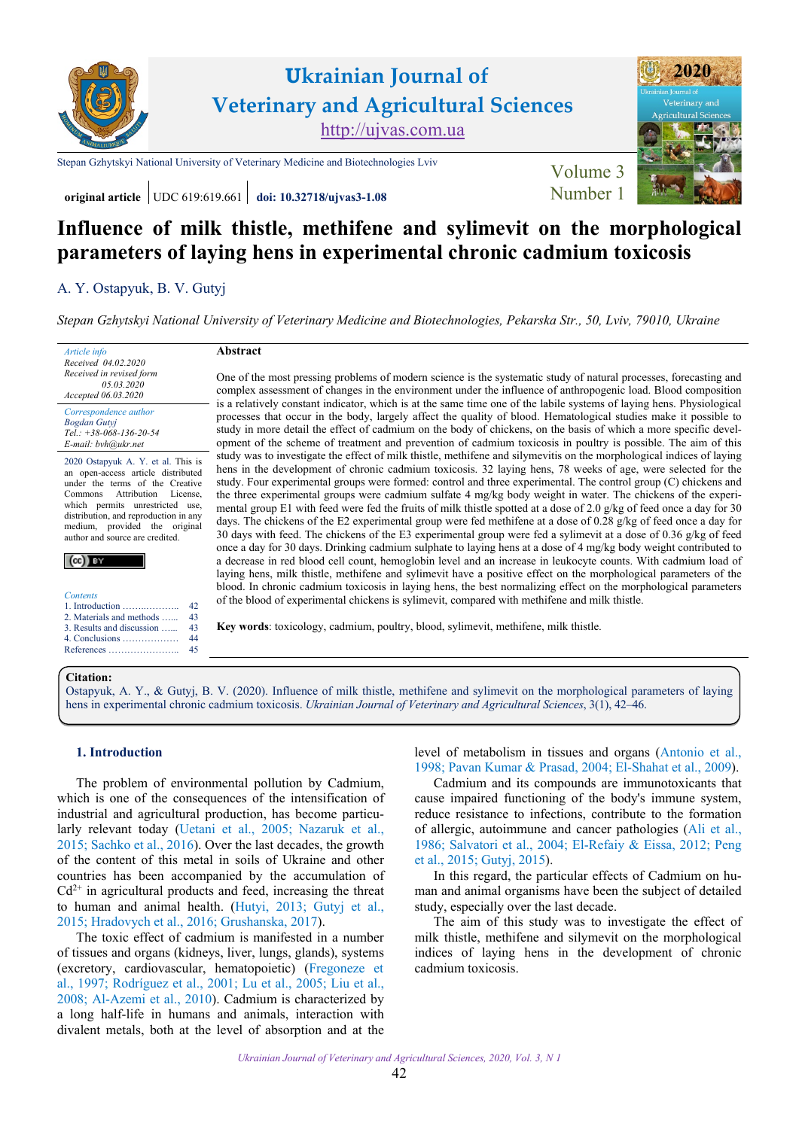

**original article** UDC 619:619.661 **[doi: 10.32718/ujvas3-1.08](https://doi.org/10.32718/ujvas3-1.08)** Number 1



# **Influence of milk thistle, methifene and sylimevit on the morphological parameters of laying hens in experimental chronic cadmium toxicosis**

# A. [Y. Ostapyuk,](https://orcid.org/0000-0002-4827-2318) [B. V. Gutyj](https://orcid.org/0000-0002-5971-8776)

*[Stepan Gzhytskyi National University of Veterinary Medicine and Biotechnologies, Pekarska Str., 50, Lviv, 79010, Ukraine](https://lvet.edu.ua)*

*Article info*

*Tel.: +38-068-136-20-54 E-mail: bvh@ukr.net*

2020 Ostapyuk A. Y. et al. This is an open-access article distributed under the terms of the Creative Commons Attribution License, which permits unrestricted use. distribution, and reproduction in any medium, provided the original author and source are credited.

|--|--|

| Contents                                 |
|------------------------------------------|
|                                          |
| 2. Materials and methods                 |
| 3. Results and discussion                |
| 4. Conclusions $\dots \dots \dots \dots$ |
| References                               |

# **Abstract**

One of the most pressing problems of modern science is the systematic study of natural processes, forecasting and complex assessment of changes in the environment under the influence of anthropogenic load. Blood composition is a relatively constant indicator, which is at the same time one of the labile systems of laying hens. Physiological processes that occur in the body, largely affect the quality of blood. Hematological studies make it possible to study in more detail the effect of cadmium on the body of chickens, on the basis of which a more specific development of the scheme of treatment and prevention of cadmium toxicosis in poultry is possible. The aim of this study was to investigate the effect of milk thistle, methifene and silymevitis on the morphological indices of laying hens in the development of chronic cadmium toxicosis. 32 laying hens, 78 weeks of age, were selected for the study. Four experimental groups were formed: control and three experimental. The control group (C) chickens and the three experimental groups were cadmium sulfate 4 mg/kg body weight in water. The chickens of the experimental group E1 with feed were fed the fruits of milk thistle spotted at a dose of 2.0 g/kg of feed once a day for 30 days. The chickens of the E2 experimental group were fed methifene at a dose of 0.28 g/kg of feed once a day for 30 days with feed. The chickens of the E3 experimental group were fed a sylimevit at a dose of 0.36 g/kg of feed once a day for 30 days. Drinking cadmium sulphate to laying hens at a dose of 4 mg/kg body weight contributed to a decrease in red blood cell count, hemoglobin level and an increase in leukocyte counts. With cadmium load of laying hens, milk thistle, methifene and sylimevit have a positive effect on the morphological parameters of the blood. In chronic cadmium toxicosis in laying hens, the best normalizing effect on the morphological parameters of the blood of experimental chickens is sylimevit, compared with methifene and milk thistle.

**Key words**: toxicology, cadmium, poultry, blood, sylimevit, methifene, milk thistle.

## **Citation:**

Ostapyuk, A. [Y., & Gutyj, B. V. \(2020\). Influence of milk thistle, methifene and sylimevit on the morphological parameters of laying](https://doi.org/10.32718/ujvas3-1.08) hens in experimental chronic cadmium toxicosis. *Ukrainian Journal of Veterinary and Agricultural Sciences*, 3(1), 42–46.

# **1. Introduction**

The problem of environmental pollution by Cadmium, which is one of the consequences of the intensification of industrial and agricultural production, has become particularly relevant today ([Uetani](#page-4-0) et al., 2005; [Nazaruk et al.,](#page-3-0) [2015;](#page-4-0) [Sachko et al., 2016](#page-3-0)). Over the last decades, the growth of the content of this metal in soils of Ukraine and other countries has been accompanied by the accumulation of  $Cd<sup>2+</sup>$  in agricultural products and feed, increasing the threat to human and animal health. [\(Hutyi, 2013;](#page-3-0) [Gutyj et al.,](#page-3-0) [2015;](#page-3-0) [Hradovych et al., 2016](#page-3-0); [Grushanska, 2017\)](#page-3-0).

The toxic effect of cadmium is manifested in a number of tissues and organs (kidneys, liver, lungs, glands), systems (excretory, cardiovascular, hematopoietic) [\(Fregoneze et](#page-3-0) [al., 1997;](#page-3-0) [Rodríguez et al., 2001;](#page-4-0) Lu [et al., 2005;](#page-3-0) [Liu et al.,](#page-3-0) [2008;](#page-3-0) [Al-Azemi et al., 2010\)](#page-3-0). Cadmium is characterized by a long half-life in humans and animals, interaction with divalent metals, both at the level of absorption and at the level of metabolism in tissues and organs ([Antonio](#page-3-0) et al., [1998](#page-3-0); Pavan [Kumar & Prasad,](#page-4-0) 2004; [El-Shahat et al., 2009](#page-3-0)).

Cadmium and its compounds are immunotoxicants that cause impaired functioning of the body's immune system, reduce resistance to infections, contribute to the formation of allergic, autoimmune and cancer pathologies (Ali [et al.,](#page-3-0) [1986](#page-3-0); Salvatori [et al., 2004](#page-4-0); [El-Refaiy & Eissa, 2012;](#page-3-0) [Peng](#page-4-0)  [et al., 2015](#page-4-0); [Gutyj, 2015\)](#page-3-0).

In this regard, the particular effects of Cadmium on human and animal organisms have been the subject of detailed study, especially over the last decade.

The aim of this study was to investigate the effect of milk thistle, methifene and silymevit on the morphological indices of laying hens in the development of chronic cadmium toxicosis.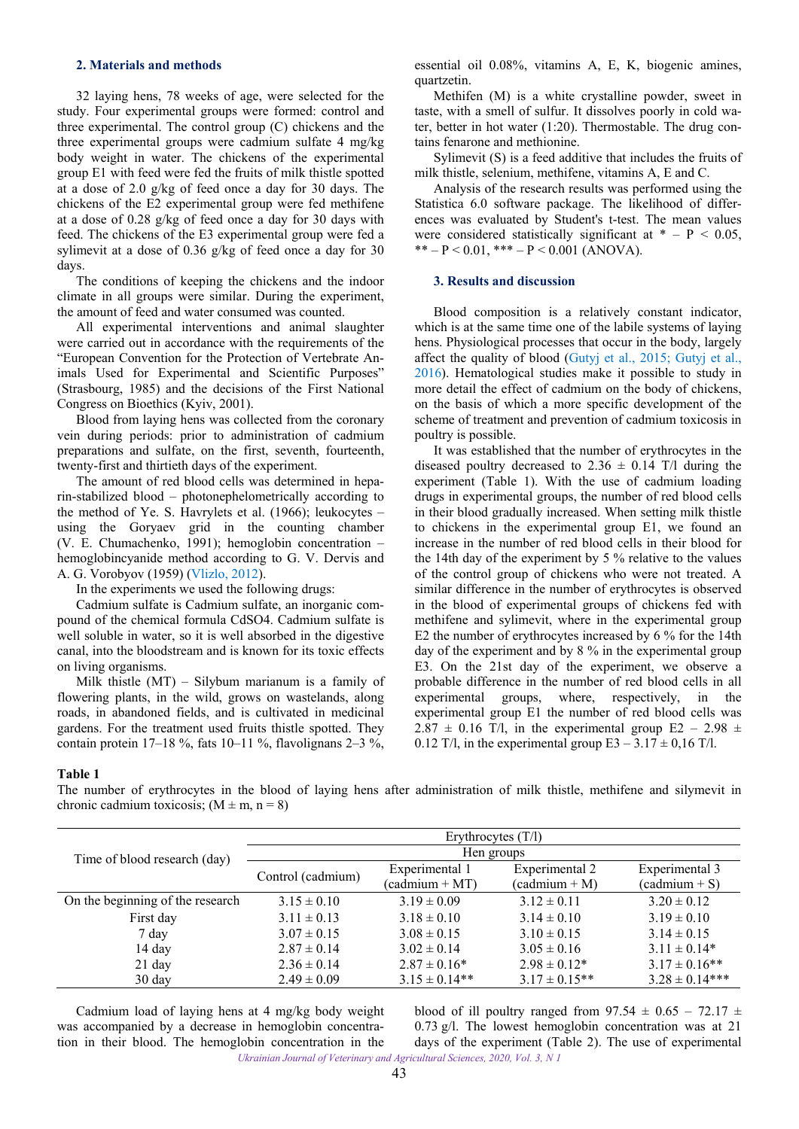## <span id="page-1-0"></span>**2. Materials and methods**

32 laying hens, 78 weeks of age, were selected for the study. Four experimental groups were formed: control and three experimental. The control group (C) chickens and the three experimental groups were cadmium sulfate 4 mg/kg body weight in water. The chickens of the experimental group E1 with feed were fed the fruits of milk thistle spotted at a dose of 2.0 g/kg of feed once a day for 30 days. The chickens of the E2 experimental group were fed methifene at a dose of 0.28 g/kg of feed once a day for 30 days with feed. The chickens of the E3 experimental group were fed a sylimevit at a dose of 0.36 g/kg of feed once a day for 30 days.

The conditions of keeping the chickens and the indoor climate in all groups were similar. During the experiment, the amount of feed and water consumed was counted.

All experimental interventions and animal slaughter were carried out in accordance with the requirements of the "European Convention for the Protection of Vertebrate Animals Used for Experimental and Scientific Purposes" (Strasbourg, 1985) and the decisions of the First National Congress on Bioethics (Kyiv, 2001).

Blood from laying hens was collected from the coronary vein during periods: prior to administration of cadmium preparations and sulfate, on the first, seventh, fourteenth, twenty-first and thirtieth days of the experiment.

The amount of red blood cells was determined in heparin-stabilized blood – photonephelometrically according to the method of Ye. S. Havrylets et al. (1966); leukocytes – using the Goryaev grid in the counting chamber (V. E. Chumachenko, 1991); hemoglobin concentration – hemoglobincyanide method according to G. V. Dervis and A. G. Vorobyov (1959) ([Vlizlo, 2012\)](#page-4-0).

In the experiments we used the following drugs:

Cadmium sulfate is Cadmium sulfate, an inorganic compound of the chemical formula CdSO4. Cadmium sulfate is well soluble in water, so it is well absorbed in the digestive canal, into the bloodstream and is known for its toxic effects on living organisms.

Milk thistle (MT) – Silybum marianum is a family of flowering plants, in the wild, grows on wastelands, along roads, in abandoned fields, and is cultivated in medicinal gardens. For the treatment used fruits thistle spotted. They contain protein  $17-18$  %, fats  $10-11$  %, flavolignans  $2-3$  %,

essential oil 0.08%, vitamins A, E, K, biogenic amines, quartzetin.

Methifen (M) is a white crystalline powder, sweet in taste, with a smell of sulfur. It dissolves poorly in cold water, better in hot water (1:20). Thermostable. The drug contains fenarone and methionine.

Sylimevit (S) is a feed additive that includes the fruits of milk thistle, selenium, methifene, vitamins A, E and C.

Analysis of the research results was performed using the Statistica 6.0 software package. The likelihood of differences was evaluated by Student's t-test. The mean values were considered statistically significant at  $* - P < 0.05$ , \*\* – P < 0.01, \*\*\* – P < 0.001 (ANOVA).

#### **3. Results and discussion**

Blood composition is a relatively constant indicator, which is at the same time one of the labile systems of laying hens. Physiological processes that occur in the body, largely affect the quality of blood [\(Gutyj et al., 2015](#page-3-0); [Gutyj et al.,](#page-3-0)  [2016](#page-3-0)). Hematological studies make it possible to study in more detail the effect of cadmium on the body of chickens, on the basis of which a more specific development of the scheme of treatment and prevention of cadmium toxicosis in poultry is possible.

It was established that the number of erythrocytes in the diseased poultry decreased to  $2.36 \pm 0.14$  T/l during the experiment (Table 1). With the use of cadmium loading drugs in experimental groups, the number of red blood cells in their blood gradually increased. When setting milk thistle to chickens in the experimental group E1, we found an increase in the number of red blood cells in their blood for the 14th day of the experiment by 5 % relative to the values of the control group of chickens who were not treated. A similar difference in the number of erythrocytes is observed in the blood of experimental groups of chickens fed with methifene and sylimevit, where in the experimental group E2 the number of erythrocytes increased by 6 % for the 14th day of the experiment and by 8 % in the experimental group E3. On the 21st day of the experiment, we observe a probable difference in the number of red blood cells in all experimental groups, where, respectively, in the experimental group E1 the number of red blood cells was  $2.87 \pm 0.16$  T/l, in the experimental group E2 – 2.98  $\pm$ 0.12 T/l, in the experimental group  $E3 - 3.17 \pm 0.16$  T/l.

#### **Table 1**

The number of erythrocytes in the blood of laying hens after administration of milk thistle, methifene and silymevit in chronic cadmium toxicosis;  $(M \pm m, n = 8)$ 

|                                  | Erythrocytes $(T/l)$ |                   |                    |                    |
|----------------------------------|----------------------|-------------------|--------------------|--------------------|
| Time of blood research (day)     | Hen groups           |                   |                    |                    |
|                                  | Control (cadmium)    | Experimental 1    | Experimental 2     | Experimental 3     |
|                                  |                      | $(cadmium + MT)$  | $(cadmium + M)$    | $(cadmium + S)$    |
| On the beginning of the research | $3.15 \pm 0.10$      | $3.19 \pm 0.09$   | $3.12 \pm 0.11$    | $3.20 \pm 0.12$    |
| First day                        | $3.11 \pm 0.13$      | $3.18 \pm 0.10$   | $3.14 \pm 0.10$    | $3.19 \pm 0.10$    |
| 7 day                            | $3.07 \pm 0.15$      | $3.08 \pm 0.15$   | $3.10 \pm 0.15$    | $3.14 \pm 0.15$    |
| 14 day                           | $2.87 \pm 0.14$      | $3.02 \pm 0.14$   | $3.05 \pm 0.16$    | $3.11 \pm 0.14*$   |
| $21$ day                         | $2.36 \pm 0.14$      | $2.87 \pm 0.16*$  | $2.98 \pm 0.12^*$  | $3.17 \pm 0.16$ ** |
| 30 day                           | $2.49 \pm 0.09$      | $3.15 \pm 0.14**$ | $3.17 \pm 0.15$ ** | $3.28 \pm 0.14***$ |

Cadmium load of laying hens at 4 mg/kg body weight was accompanied by a decrease in hemoglobin concentration in their blood. The hemoglobin concentration in the

*Ukrainian Journal of Veterinary and Agricultural Sciences, 2020, Vol. 3, N 1* blood of ill poultry ranged from  $97.54 \pm 0.65 - 72.17 \pm 0.65$ 0.73 g/l. The lowest hemoglobin concentration was at 21 days of the experiment (Table 2). The use of experimental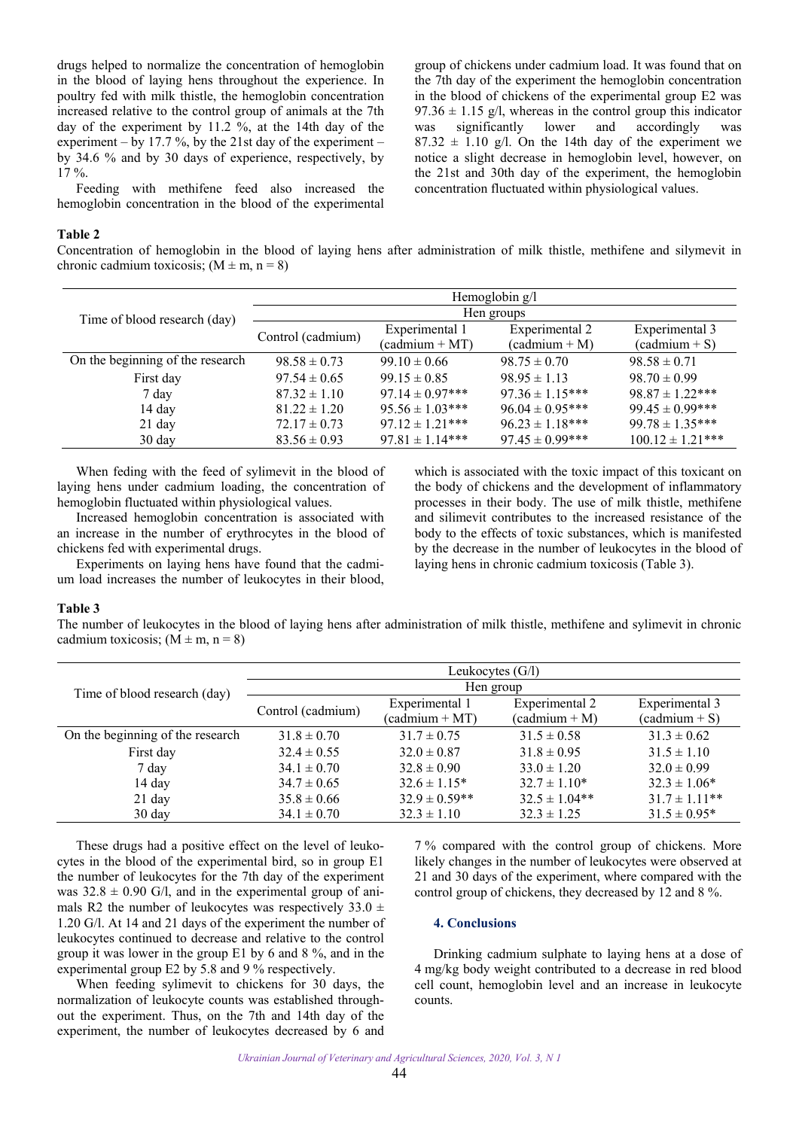<span id="page-2-0"></span>drugs helped to normalize the concentration of hemoglobin in the blood of laying hens throughout the experience. In poultry fed with milk thistle, the hemoglobin concentration increased relative to the control group of animals at the 7th day of the experiment by 11.2 %, at the 14th day of the experiment – by 17.7 %, by the 21st day of the experiment – by 34.6 % and by 30 days of experience, respectively, by  $17 \%$ .

Feeding with methifene feed also increased the hemoglobin concentration in the blood of the experimental

#### **Table 2**

Concentration of hemoglobin in the blood of laying hens after administration of milk thistle, methifene and silymevit in chronic cadmium toxicosis;  $(M \pm m, n = 8)$ 

|                                  | Hemoglobin g/l    |                     |                     |                      |
|----------------------------------|-------------------|---------------------|---------------------|----------------------|
| Time of blood research (day)     | Hen groups        |                     |                     |                      |
|                                  | Control (cadmium) | Experimental 1      | Experimental 2      | Experimental 3       |
|                                  |                   | $(cadmium + MT)$    | $(cadmium + M)$     | $(cadmium + S)$      |
| On the beginning of the research | $98.58 \pm 0.73$  | $99.10 \pm 0.66$    | $98.75 \pm 0.70$    | $98.58 \pm 0.71$     |
| First day                        | $97.54 \pm 0.65$  | $99.15 \pm 0.85$    | $98.95 \pm 1.13$    | $98.70 \pm 0.99$     |
| 7 day                            | $87.32 \pm 1.10$  | $97.14 \pm 0.97***$ | $97.36 \pm 1.15***$ | $98.87 \pm 1.22***$  |
| 14 day                           | $81.22 \pm 1.20$  | $95.56 \pm 1.03***$ | $96.04 \pm 0.95***$ | $99.45 \pm 0.99***$  |
| 21 day                           | $72.17 \pm 0.73$  | $97.12 \pm 1.21***$ | $96.23 \pm 1.18***$ | $99.78 \pm 1.35***$  |
| $30 \text{ day}$                 | $83.56 \pm 0.93$  | $97.81 \pm 1.14***$ | $97.45 \pm 0.99***$ | $100.12 \pm 1.21***$ |

When feding with the feed of sylimevit in the blood of laying hens under cadmium loading, the concentration of hemoglobin fluctuated within physiological values.

Increased hemoglobin concentration is associated with an increase in the number of erythrocytes in the blood of chickens fed with experimental drugs.

Experiments on laying hens have found that the cadmium load increases the number of leukocytes in their blood,

which is associated with the toxic impact of this toxicant on the body of chickens and the development of inflammatory processes in their body. The use of milk thistle, methifene and silimevit contributes to the increased resistance of the body to the effects of toxic substances, which is manifested by the decrease in the number of leukocytes in the blood of laying hens in chronic cadmium toxicosis (Table 3).

group of chickens under cadmium load. It was found that on the 7th day of the experiment the hemoglobin concentration in the blood of chickens of the experimental group E2 was  $97.36 \pm 1.15$  g/l, whereas in the control group this indicator<br>was significantly lower and accordingly was was significantly lower and accordingly was  $87.32 \pm 1.10$  g/l. On the 14th day of the experiment we notice a slight decrease in hemoglobin level, however, on the 21st and 30th day of the experiment, the hemoglobin

concentration fluctuated within physiological values.

#### **Table 3**

The number of leukocytes in the blood of laying hens after administration of milk thistle, methifene and sylimevit in chronic cadmium toxicosis;  $(M \pm m, n = 8)$ 

|                                  | Leukocytes (G/l)  |                   |                   |                    |
|----------------------------------|-------------------|-------------------|-------------------|--------------------|
| Time of blood research (day)     | Hen group         |                   |                   |                    |
|                                  |                   | Experimental 1    | Experimental 2    | Experimental 3     |
|                                  | Control (cadmium) | $(cadmium + MT)$  | $(cadmium + M)$   | $(cadmium + S)$    |
| On the beginning of the research | $31.8 \pm 0.70$   | $31.7 \pm 0.75$   | $31.5 \pm 0.58$   | $31.3 \pm 0.62$    |
| First day                        | $32.4 \pm 0.55$   | $32.0 \pm 0.87$   | $31.8 \pm 0.95$   | $31.5 \pm 1.10$    |
| 7 day                            | $34.1 \pm 0.70$   | $32.8 \pm 0.90$   | $33.0 \pm 1.20$   | $32.0 \pm 0.99$    |
| 14 day                           | $34.7 \pm 0.65$   | $32.6 \pm 1.15*$  | $32.7 \pm 1.10*$  | $32.3 \pm 1.06*$   |
| 21 day                           | $35.8 \pm 0.66$   | $32.9 \pm 0.59**$ | $32.5 \pm 1.04**$ | $31.7 \pm 1.11$ ** |
| $30 \text{ day}$                 | $34.1 \pm 0.70$   | $32.3 \pm 1.10$   | $32.3 \pm 1.25$   | $31.5 \pm 0.95^*$  |

These drugs had a positive effect on the level of leukocytes in the blood of the experimental bird, so in group E1 the number of leukocytes for the 7th day of the experiment was  $32.8 \pm 0.90$  G/l, and in the experimental group of animals R2 the number of leukocytes was respectively  $33.0 \pm$ 1.20 G/l. At 14 and 21 days of the experiment the number of leukocytes continued to decrease and relative to the control group it was lower in the group E1 by 6 and 8 %, and in the experimental group E2 by 5.8 and 9 % respectively.

When feeding sylimevit to chickens for 30 days, the normalization of leukocyte counts was established throughout the experiment. Thus, on the 7th and 14th day of the experiment, the number of leukocytes decreased by 6 and

7 % compared with the control group of chickens. More likely changes in the number of leukocytes were observed at 21 and 30 days of the experiment, where compared with the control group of chickens, they decreased by 12 and 8 %.

## **4. Conclusions**

Drinking cadmium sulphate to laying hens at a dose of 4 mg/kg body weight contributed to a decrease in red blood cell count, hemoglobin level and an increase in leukocyte counts.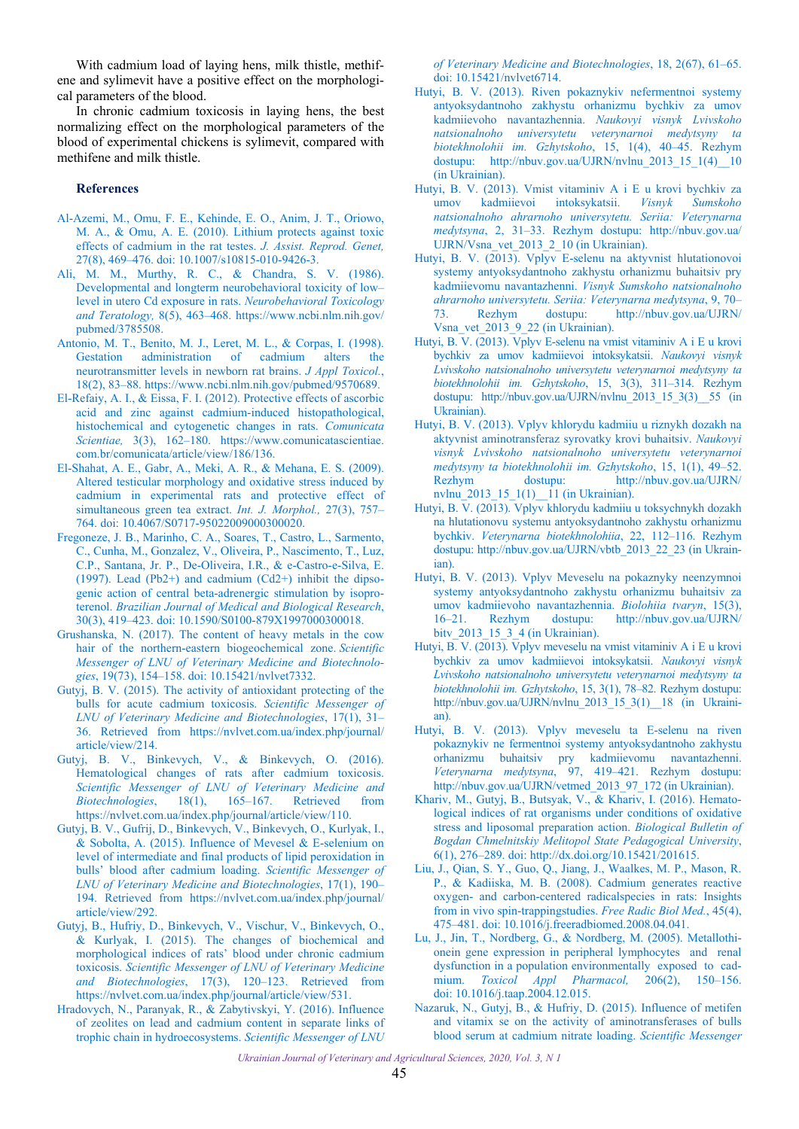<span id="page-3-0"></span>With cadmium load of laying hens, milk thistle, methifene and sylimevit have a positive effect on the morphological parameters of the blood.

In chronic cadmium toxicosis in laying hens, the best normalizing effect on the morphological parameters of the blood of experimental chickens is sylimevit, compared with methifene and milk thistle.

### **References**

- Al-Azemi, M., Omu, F. E., Kehinde, E. O., Anim, J. T., Oriowo, M. A., & Omu, A. E. (2010). [Lithium protects against toxic](https://doi.org/10.1007/s10815-010-9426-3) effects of cadmium in the rat testes. *J. Assist. Reprod. Genet,* 27(8), 469–476. doi: [10.1007/s10815-010-9426-3.](https://dx.doi.org/10.1007%2Fs10815-010-9426-3)
- Ali, M. M., Murthy, R. C., & Chandra, S. V. (1986). [Developmental and longterm neurobehavioral toxicity of low–](https://www.ncbi.nlm.nih.gov/pubmed/3785508) level in utero Cd exposure in rats. *Neurobehavioral Toxicology and Teratology,* 8(5), 463–468. https://www.ncbi.nlm.nih.gov/ pubmed/3785508.
- [Antonio, M. T., Benito, M. J., Leret, M. L., & Corpas, I. \(1998\).](https://www.ncbi.nlm.nih.gov/pubmed/9570689) Gestation administration of cadmium alters the neurotransmitter levels in newborn rat brains. *J Appl Toxicol.*, 18(2), 83–88. https://www.ncbi.nlm.nih.gov/pubmed/9570689.
- El-Refaiy, A. I., & Eissa, F. I. (2012). Protective effects of ascorbic [acid and zinc against cadmium-induced histopathological,](https://www.comunicatascientiae.com.br/comunicata/article/view/186/136) histochemical and cytogenetic changes in rats. *Comunicata Scientiae,* 3(3), 162–180. https://www.comunicatascientiae. com.br/comunicata/article/view/186/136.
- El-Shahat, A. E., Gabr, A., Meki, A. R., & Mehana, E. S. (2009). [Altered testicular morphology and oxidative stress induced by](https://doi.org/10.4067/S0717-95022009000300020) cadmium in experimental rats and protective effect of simultaneous green tea extract. *Int. J. Morphol.,* 27(3), 757– 764. doi: 10.4067/S0717-95022009000300020.
- Fregoneze, J. B., Marinho, C. A., Soares, T., Castro, L., Sarmento, C., Cunha, M., Gonzalez, V., Oliveira, P., Nascimento, T., Luz, C.P., Santana, Jr. P., De-Oliveira, I.R., & e-Castro-e-Silva, E. [\(1997\). Lead \(Pb2+\) and cadmium \(Cd2+\) inhibit the dipso](https://doi.org/10.1590/S0100-879X1997000300018)genic action of central beta-adrenergic stimulation by isoproterenol. *[Brazilian Journal of Medical and Biological Research](https://doaj.org/toc/1414-431X)*, 30(3), 419–423. doi: 10.1590/S0100-879X1997000300018.
- [Grushanska, N. \(2017\). The content of heavy metals in the cow](https://doi.org/10.15421/nvlvet7332) hair of the northern-eastern biogeochemical zone. *Scientific Messenger of LNU of Veterinary Medicine and Biotechnologies*, 19(73), 154–158. doi: 10.15421/nvlvet7332.
- Gutyj, B. V. (2015). The activity of antioxidant protecting of the bulls for acute cadmium toxicosis. *Scientific Messenger of LNU of Veterinary Medicine and Biotechnologies*, 17(1), 31– [36. Retrieved from https://nvlvet.com.ua/index.php/journal/](https://nvlvet.com.ua/index.php/journal/article/view/214) article/view/214.
- Gutyj, B. V., Binkevych, V., & Binkevych, O. (2016). [Hematological changes of rats after cadmium toxicosis.](https://nvlvet.com.ua/index.php/journal/article/view/110) *Scientific Messenger of LNU of Veterinary Medicine and Biotechnologies*, 18(1), 165–167. Retrieved from https://nvlvet.com.ua/index.php/journal/article/view/110.
- Gutyj, B. V., Gufrij, D., Binkevych, V., Binkevych, O., Kurlyak, I., [& Sobolta, A. \(2015\). Influence of Mevesel & E-selenium on](https://nvlvet.com.ua/index.php/journal/article/view/292) level of intermediate and final products of lipid peroxidation in bulls' blood after cadmium loading. *Scientific Messenger of LNU of Veterinary Medicine and Biotechnologies*, 17(1), 190– 194. Retrieved from https://nvlvet.com.ua/index.php/journal/ article/view/292.
- [Gutyj, B., Hufriy, D., Binkevych, V., Vischur, V., Binkevych, O.,](https://nvlvet.com.ua/index.php/journal/article/view/531) & Kurlyak, I. (2015). The changes of biochemical and morphological indices of rats' blood under chronic cadmium toxicosis. *Scientific Messenger of LNU of Veterinary Medicine and Biotechnologies*, 17(3), 120–123. Retrieved from https://nvlvet.com.ua/index.php/journal/article/view/531.
- [Hradovych, N., Paranyak, R., & Zabytivskyi, Y. \(2016\). Influence](https://doi.org/10.15421/nvlvet6714) of zeolites on lead and cadmium content in separate links of trophic chain in hydroecosystems. *Scientific Messenger of LNU*

*[of Veterinary Medicine and Biotechnologies](https://doi.org/10.15421/nvlvet6714)*, 18, 2(67), 61–65. doi: 10.15421/nvlvet6714.

- Hutyi, B. V. (2013). Riven pokaznykiv nefermentnoi systemy [antyoksydantnoho zakhystu orhanizmu bychkiv za umov](http://nbuv.gov.ua/UJRN/nvlnu_2013_15_1(4)__10) kadmiievoho navantazhennia. *Naukovyi visnyk Lvivskoho natsionalnoho universytetu veterynarnoi medytsyny ta biotekhnolohii im. Gzhytskoho*, 15, 1(4), 40–45. Rezhym dostupu: http://nbuv.gov.ua/UJRN/nvlnu 2013 15 1(4) 10 (in Ukrainian).
- Hutyi, B. V. (2013). Vmist vitaminiv A i E u krovi bychkiv za umov kadmiievoi intoksykatsii. *Visnyk Sumskoho [natsionalnoho ahrarnoho universytetu. Seriia: Veterynarna](http://nbuv.gov.ua/UJRN/Vsna_vet_2013_2_10) medytsyna*, 2, 31–33. Rezhym dostupu: [http://nbuv.gov.ua/](http://nbuv.gov.ua/UJRN/Vsna_vet_2013_2_10)  [UJRN/Vsna\\_vet\\_2013\\_2\\_10](http://nbuv.gov.ua/UJRN/Vsna_vet_2013_2_10) (in Ukrainian).
- Hutyi, B. V. (2013). Vplyv E-selenu na aktyvnist hlutationovoi systemy antyoksydantnoho zakhystu orhanizmu buhaitsiv pry kadmiievomu navantazhenni. *Visnyk Sumskoho natsionalnoho ahrarnoho universytetu. Seriia: Veterynarna medytsyna*, 9, 70– [73. Rezhym dostupu: http://nbuv.gov.ua/UJRN/](http://nbuv.gov.ua/UJRN/Vsna_vet_2013_9_22)  [Vsna\\_vet\\_2013\\_9\\_22](http://nbuv.gov.ua/UJRN/Vsna_vet_2013_9_22) (in Ukrainian).
- Hutyi, B. V. (2013). Vplyv E-selenu na vmist vitaminiv A i E u krovi bychkiv za umov kadmiievoi intoksykatsii. *Naukovyi visnyk [Lvivskoho natsionalnoho universytetu veterynarnoi medytsyny ta](http://nbuv.gov.ua/UJRN/nvlnu_2013_15_3(3)__55) biotekhnolohii im. Gzhytskoho*, 15, 3(3), 311–314. Rezhym dostupu: [http://nbuv.gov.ua/UJRN/nvlnu\\_2013\\_15\\_3\(3\)\\_\\_55](http://nbuv.gov.ua/UJRN/nvlnu_2013_15_3%283%29__55) (in Ukrainian).
- Hutyi, B. V. (2013). Vplyv khlorydu kadmiiu u riznykh dozakh na aktyvnist aminotransferaz syrovatky krovi buhaitsiv. *Naukovyi visnyk Lvivskoho natsionalnoho universytetu veterynarnoi medytsyny ta biotekhnolohii im. Gzhytskoho*, 15, 1(1), 49–52. [Rezhym dostupu: http://nbuv.gov.ua/UJRN/](http://nbuv.gov.ua/UJRN/nvlnu_2013_15_1(1)__11) nvlnu  $2013\quad15\quad1(1)$   $11$  (in Ukrainian).
- Hutyi, B. V. (2013). Vplyv khlorydu kadmiiu u toksychnykh dozakh [na hlutationovu systemu antyoksydantnoho zakhystu orhanizmu](http://nbuv.gov.ua/UJRN/vbtb_2013_22_23) bychkiv. *Veterynarna biotekhnolohiia*, 22, 112–116. Rezhym dostupu: [http://nbuv.gov.ua/UJRN/vbtb\\_2013\\_22\\_23](http://nbuv.gov.ua/UJRN/vbtb_2013_22_23) (in Ukrainian).
- Hutyi, B. V. (2013). Vplyv Meveselu na pokaznyky neenzymnoi systemy antyoksydantnoho zakhystu orhanizmu buhaitsiv za umov kadmiievoho navantazhennia. *Biolohiia tvaryn*, 15(3), [16–21. Rezhym dostupu: http://nbuv.gov.ua/UJRN/](http://nbuv.gov.ua/UJRN/bitv_2013_15_3_4)  [bitv\\_2013\\_15\\_3\\_4](http://nbuv.gov.ua/UJRN/bitv_2013_15_3_4) (in Ukrainian).
- Hutyi, B. V. (2013). Vplyv meveselu na vmist vitaminiv A i E u krovi bychkiv za umov kadmiievoi intoksykatsii. *Naukovyi visnyk [Lvivskoho natsionalnoho universytetu veterynarnoi medytsyny ta](http://nbuv.gov.ua/UJRN/nvlnu_2013_15_3(1)__18) biotekhnolohii im. Gzhytskoho*, 15, 3(1), 78–82. Rezhym dostupu: [http://nbuv.gov.ua/UJRN/nvlnu\\_2013\\_15\\_3\(1\)\\_\\_18](http://nbuv.gov.ua/UJRN/nvlnu_2013_15_3(1)__18) (in Ukrainian).
- Hutyi, B. V. (2013). Vplyv meveselu ta E-selenu na riven [pokaznykiv ne fermentnoi systemy antyoksydantnoho zakhystu](http://nbuv.gov.ua/UJRN/vetmed_2013_97_172) orhanizmu buhaitsiv pry kadmiievomu navantazhenni. *Veterynarna medytsyna*, 97, 419–421. Rezhym dostupu: http://nbuv.gov.ua/UJRN/vetmed 2013 97 172 (in Ukrainian).
- [Khariv, M., Gutyj, B., Butsyak, V., & Khariv, I. \(2016\). Hemato](http://dx.doi.org/10.15421/201615)logical indices of rat organisms under conditions of oxidative stress and liposomal preparation action. *Biological Bulletin of Bogdan Chmelnitskiy Melitopol State Pedagogical University*, 6(1), 276–289. doi: [http://dx.doi.org/10.15421/201615.](http://dx.doi.org/10.15421/201615)
- Liu, J., Qian, S. Y., Guo, Q., Jiang, J., Waalkes, M. P., Mason, R. P., & Kadiiska, M. B. (2008). Cadmium generates reactive [oxygen- and carbon-centered radicalspecies in rats: Insights](https://doi.org/10.1016/j.freeradbiomed.2008.04.041) from in vivo spin-trappingstudies. *Free Radic Biol Med.*, 45(4), 475–481. doi[: 10.1016/j.freeradbiomed.2008.04.041.](https://doi.org/10.1016/j.freeradbiomed.2008.04.041)
- [Lu, J., Jin, T., Nordberg, G., & Nordberg, M. \(2005\). Metallothi](https://doi.org/10.1016/j.taap.2004.12.015)onein gene expression in peripheral lymphocytes and renal dysfunction in a population environmentally exposed to cadmium. *Toxicol Appl Pharmacol,* 206(2), 150–156. doi: [10.1016/j.taap.2004.12.015.](https://doi.org/10.1016/j.taap.2004.12.015)
- [Nazaruk, N., Gutyj, B., & Hufriy, D. \(2015\). Influence of metifen](https://nvlvet.com.ua/index.php/journal/article/view/231) and vitamix se on the activity of aminotransferases of bulls blood serum at cadmium nitrate loading. *Scientific Messenger*

*Ukrainian Journal of Veterinary and Agricultural Sciences, 2020, Vol. 3, N 1*